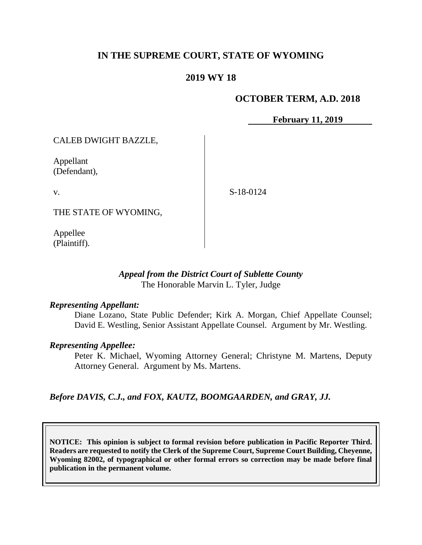## **IN THE SUPREME COURT, STATE OF WYOMING**

## **2019 WY 18**

### **OCTOBER TERM, A.D. 2018**

**February 11, 2019**

CALEB DWIGHT BAZZLE,

Appellant (Defendant),

v.

S-18-0124

THE STATE OF WYOMING,

Appellee (Plaintiff).

### *Appeal from the District Court of Sublette County* The Honorable Marvin L. Tyler, Judge

#### *Representing Appellant:*

Diane Lozano, State Public Defender; Kirk A. Morgan, Chief Appellate Counsel; David E. Westling, Senior Assistant Appellate Counsel. Argument by Mr. Westling.

#### *Representing Appellee:*

Peter K. Michael, Wyoming Attorney General; Christyne M. Martens, Deputy Attorney General. Argument by Ms. Martens.

*Before DAVIS, C.J., and FOX, KAUTZ, BOOMGAARDEN, and GRAY, JJ.*

**NOTICE: This opinion is subject to formal revision before publication in Pacific Reporter Third. Readers are requested to notify the Clerk of the Supreme Court, Supreme Court Building, Cheyenne, Wyoming 82002, of typographical or other formal errors so correction may be made before final publication in the permanent volume.**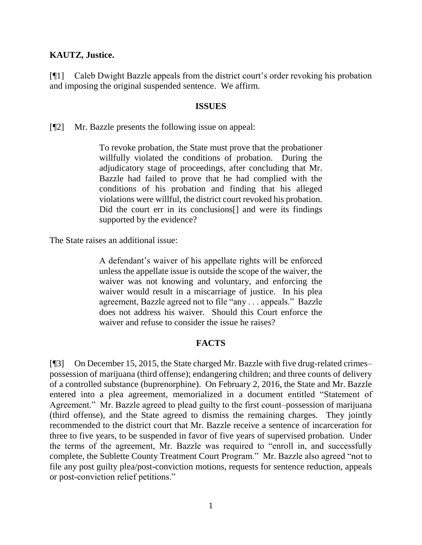#### **KAUTZ, Justice.**

[¶1] Caleb Dwight Bazzle appeals from the district court's order revoking his probation and imposing the original suspended sentence. We affirm.

#### **ISSUES**

[¶2] Mr. Bazzle presents the following issue on appeal:

To revoke probation, the State must prove that the probationer willfully violated the conditions of probation. During the adjudicatory stage of proceedings, after concluding that Mr. Bazzle had failed to prove that he had complied with the conditions of his probation and finding that his alleged violations were willful, the district court revoked his probation. Did the court err in its conclusions<sup>[]</sup> and were its findings supported by the evidence?

The State raises an additional issue:

A defendant's waiver of his appellate rights will be enforced unless the appellate issue is outside the scope of the waiver, the waiver was not knowing and voluntary, and enforcing the waiver would result in a miscarriage of justice. In his plea agreement, Bazzle agreed not to file "any . . . appeals." Bazzle does not address his waiver. Should this Court enforce the waiver and refuse to consider the issue he raises?

#### **FACTS**

[¶3] On December 15, 2015, the State charged Mr. Bazzle with five drug-related crimes– possession of marijuana (third offense); endangering children; and three counts of delivery of a controlled substance (buprenorphine). On February 2, 2016, the State and Mr. Bazzle entered into a plea agreement, memorialized in a document entitled "Statement of Agreement." Mr. Bazzle agreed to plead guilty to the first count–possession of marijuana (third offense), and the State agreed to dismiss the remaining charges. They jointly recommended to the district court that Mr. Bazzle receive a sentence of incarceration for three to five years, to be suspended in favor of five years of supervised probation. Under the terms of the agreement, Mr. Bazzle was required to "enroll in, and successfully complete, the Sublette County Treatment Court Program." Mr. Bazzle also agreed "not to file any post guilty plea/post-conviction motions, requests for sentence reduction, appeals or post-conviction relief petitions."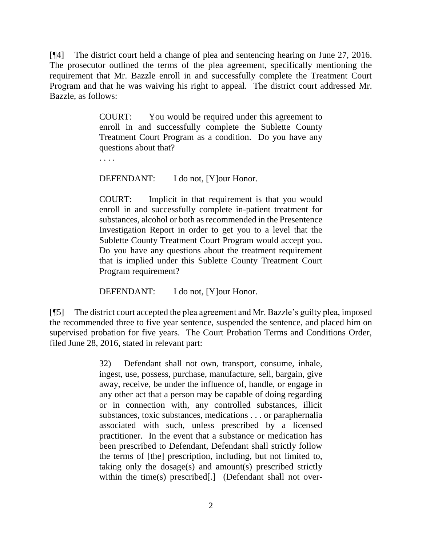[¶4] The district court held a change of plea and sentencing hearing on June 27, 2016. The prosecutor outlined the terms of the plea agreement, specifically mentioning the requirement that Mr. Bazzle enroll in and successfully complete the Treatment Court Program and that he was waiving his right to appeal. The district court addressed Mr. Bazzle, as follows:

> COURT: You would be required under this agreement to enroll in and successfully complete the Sublette County Treatment Court Program as a condition. Do you have any questions about that?

. . . .

DEFENDANT: I do not, [Y]our Honor.

COURT: Implicit in that requirement is that you would enroll in and successfully complete in-patient treatment for substances, alcohol or both as recommended in the Presentence Investigation Report in order to get you to a level that the Sublette County Treatment Court Program would accept you. Do you have any questions about the treatment requirement that is implied under this Sublette County Treatment Court Program requirement?

DEFENDANT: I do not, [Y]our Honor.

[¶5] The district court accepted the plea agreement and Mr. Bazzle's guilty plea, imposed the recommended three to five year sentence, suspended the sentence, and placed him on supervised probation for five years. The Court Probation Terms and Conditions Order, filed June 28, 2016, stated in relevant part:

> 32) Defendant shall not own, transport, consume, inhale, ingest, use, possess, purchase, manufacture, sell, bargain, give away, receive, be under the influence of, handle, or engage in any other act that a person may be capable of doing regarding or in connection with, any controlled substances, illicit substances, toxic substances, medications . . . or paraphernalia associated with such, unless prescribed by a licensed practitioner. In the event that a substance or medication has been prescribed to Defendant, Defendant shall strictly follow the terms of [the] prescription, including, but not limited to, taking only the dosage(s) and amount(s) prescribed strictly within the time(s) prescribed[.] (Defendant shall not over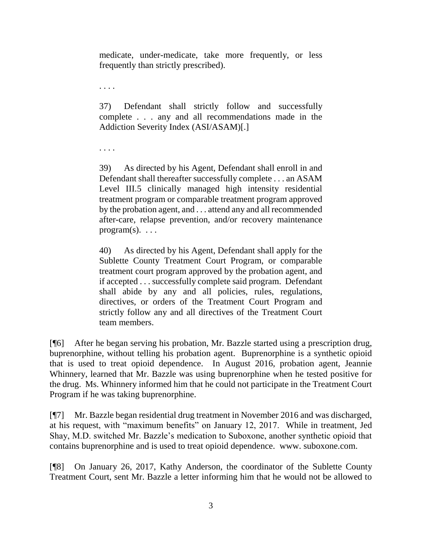medicate, under-medicate, take more frequently, or less frequently than strictly prescribed).

. . . .

37) Defendant shall strictly follow and successfully complete . . . any and all recommendations made in the Addiction Severity Index (ASI/ASAM)[.]

. . . .

39) As directed by his Agent, Defendant shall enroll in and Defendant shall thereafter successfully complete . . . an ASAM Level III.5 clinically managed high intensity residential treatment program or comparable treatment program approved by the probation agent, and . . . attend any and all recommended after-care, relapse prevention, and/or recovery maintenance program $(s)$ . . . .

40) As directed by his Agent, Defendant shall apply for the Sublette County Treatment Court Program, or comparable treatment court program approved by the probation agent, and if accepted . . . successfully complete said program. Defendant shall abide by any and all policies, rules, regulations, directives, or orders of the Treatment Court Program and strictly follow any and all directives of the Treatment Court team members.

[¶6] After he began serving his probation, Mr. Bazzle started using a prescription drug, buprenorphine, without telling his probation agent. Buprenorphine is a synthetic opioid that is used to treat opioid dependence. In August 2016, probation agent, Jeannie Whinnery, learned that Mr. Bazzle was using buprenorphine when he tested positive for the drug. Ms. Whinnery informed him that he could not participate in the Treatment Court Program if he was taking buprenorphine.

[¶7] Mr. Bazzle began residential drug treatment in November 2016 and was discharged, at his request, with "maximum benefits" on January 12, 2017. While in treatment, Jed Shay, M.D. switched Mr. Bazzle's medication to Suboxone, another synthetic opioid that contains buprenorphine and is used to treat opioid dependence. www. suboxone.com.

[¶8] On January 26, 2017, Kathy Anderson, the coordinator of the Sublette County Treatment Court, sent Mr. Bazzle a letter informing him that he would not be allowed to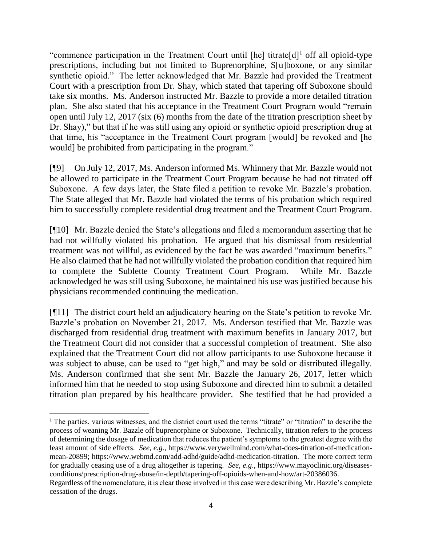"commence participation in the Treatment Court until [he] titrate[d]<sup>1</sup> off all opioid-type prescriptions, including but not limited to Buprenorphine, S[u]boxone, or any similar synthetic opioid." The letter acknowledged that Mr. Bazzle had provided the Treatment Court with a prescription from Dr. Shay, which stated that tapering off Suboxone should take six months. Ms. Anderson instructed Mr. Bazzle to provide a more detailed titration plan. She also stated that his acceptance in the Treatment Court Program would "remain open until July 12, 2017 (six (6) months from the date of the titration prescription sheet by Dr. Shay)," but that if he was still using any opioid or synthetic opioid prescription drug at that time, his "acceptance in the Treatment Court program [would] be revoked and [he would] be prohibited from participating in the program."

[¶9] On July 12, 2017, Ms. Anderson informed Ms. Whinnery that Mr. Bazzle would not be allowed to participate in the Treatment Court Program because he had not titrated off Suboxone. A few days later, the State filed a petition to revoke Mr. Bazzle's probation. The State alleged that Mr. Bazzle had violated the terms of his probation which required him to successfully complete residential drug treatment and the Treatment Court Program.

[¶10] Mr. Bazzle denied the State's allegations and filed a memorandum asserting that he had not willfully violated his probation. He argued that his dismissal from residential treatment was not willful, as evidenced by the fact he was awarded "maximum benefits." He also claimed that he had not willfully violated the probation condition that required him to complete the Sublette County Treatment Court Program. While Mr. Bazzle acknowledged he was still using Suboxone, he maintained his use was justified because his physicians recommended continuing the medication.

[¶11] The district court held an adjudicatory hearing on the State's petition to revoke Mr. Bazzle's probation on November 21, 2017. Ms. Anderson testified that Mr. Bazzle was discharged from residential drug treatment with maximum benefits in January 2017, but the Treatment Court did not consider that a successful completion of treatment. She also explained that the Treatment Court did not allow participants to use Suboxone because it was subject to abuse, can be used to "get high," and may be sold or distributed illegally. Ms. Anderson confirmed that she sent Mr. Bazzle the January 26, 2017, letter which informed him that he needed to stop using Suboxone and directed him to submit a detailed titration plan prepared by his healthcare provider. She testified that he had provided a

<sup>&</sup>lt;sup>1</sup> The parties, various witnesses, and the district court used the terms "titrate" or "titration" to describe the process of weaning Mr. Bazzle off buprenorphine or Suboxone. Technically, titration refers to the process of determining the dosage of medication that reduces the patient's symptoms to the greatest degree with the least amount of side effects. *See, e.g.*, [https://www.verywellmind.com/what-does-titration-of-medication](https://www.verywellmind.com/what-does-titration-of-medication-mean-20899)[mean-20899;](https://www.verywellmind.com/what-does-titration-of-medication-mean-20899) [https://www.webmd.com/add-adhd/guide/adhd-medication-titration.](https://www.webmd.com/add-adhd/guide/adhd-medication-titration) The more correct term for gradually ceasing use of a drug altogether is tapering. *See, e.g*., [https://www.mayoclinic.org/diseases](https://www.mayoclinic.org/diseases-conditions/prescription-drug-abuse/in-depth/tapering-off-opioids-when-and-how/art-20386036)[conditions/prescription-drug-abuse/in-depth/tapering-off-opioids-when-and-how/art-20386036.](https://www.mayoclinic.org/diseases-conditions/prescription-drug-abuse/in-depth/tapering-off-opioids-when-and-how/art-20386036)

Regardless of the nomenclature, it is clear those involved in this case were describing Mr. Bazzle's complete cessation of the drugs.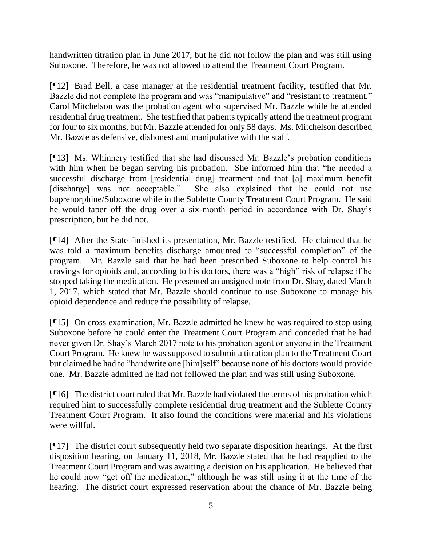handwritten titration plan in June 2017, but he did not follow the plan and was still using Suboxone. Therefore, he was not allowed to attend the Treatment Court Program.

[¶12] Brad Bell, a case manager at the residential treatment facility, testified that Mr. Bazzle did not complete the program and was "manipulative" and "resistant to treatment." Carol Mitchelson was the probation agent who supervised Mr. Bazzle while he attended residential drug treatment. She testified that patients typically attend the treatment program for four to six months, but Mr. Bazzle attended for only 58 days. Ms. Mitchelson described Mr. Bazzle as defensive, dishonest and manipulative with the staff.

[¶13] Ms. Whinnery testified that she had discussed Mr. Bazzle's probation conditions with him when he began serving his probation. She informed him that "he needed a successful discharge from [residential drug] treatment and that [a] maximum benefit [discharge] was not acceptable." She also explained that he could not use buprenorphine/Suboxone while in the Sublette County Treatment Court Program. He said he would taper off the drug over a six-month period in accordance with Dr. Shay's prescription, but he did not.

[¶14] After the State finished its presentation, Mr. Bazzle testified. He claimed that he was told a maximum benefits discharge amounted to "successful completion" of the program. Mr. Bazzle said that he had been prescribed Suboxone to help control his cravings for opioids and, according to his doctors, there was a "high" risk of relapse if he stopped taking the medication. He presented an unsigned note from Dr. Shay, dated March 1, 2017, which stated that Mr. Bazzle should continue to use Suboxone to manage his opioid dependence and reduce the possibility of relapse.

[¶15] On cross examination, Mr. Bazzle admitted he knew he was required to stop using Suboxone before he could enter the Treatment Court Program and conceded that he had never given Dr. Shay's March 2017 note to his probation agent or anyone in the Treatment Court Program. He knew he was supposed to submit a titration plan to the Treatment Court but claimed he had to "handwrite one [him]self" because none of his doctors would provide one. Mr. Bazzle admitted he had not followed the plan and was still using Suboxone.

[¶16] The district court ruled that Mr. Bazzle had violated the terms of his probation which required him to successfully complete residential drug treatment and the Sublette County Treatment Court Program. It also found the conditions were material and his violations were willful.

[¶17] The district court subsequently held two separate disposition hearings. At the first disposition hearing, on January 11, 2018, Mr. Bazzle stated that he had reapplied to the Treatment Court Program and was awaiting a decision on his application. He believed that he could now "get off the medication," although he was still using it at the time of the hearing. The district court expressed reservation about the chance of Mr. Bazzle being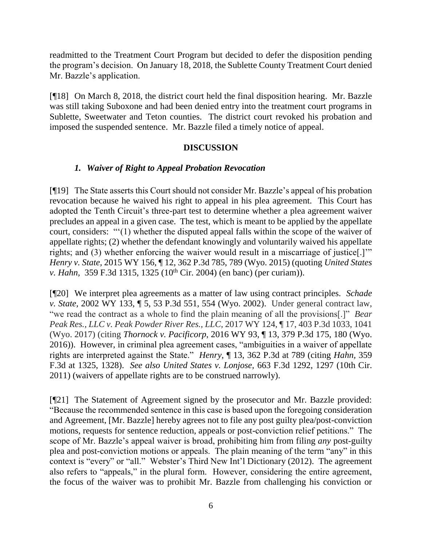readmitted to the Treatment Court Program but decided to defer the disposition pending the program's decision. On January 18, 2018, the Sublette County Treatment Court denied Mr. Bazzle's application.

[¶18] On March 8, 2018, the district court held the final disposition hearing. Mr. Bazzle was still taking Suboxone and had been denied entry into the treatment court programs in Sublette, Sweetwater and Teton counties. The district court revoked his probation and imposed the suspended sentence. Mr. Bazzle filed a timely notice of appeal.

## **DISCUSSION**

## *1. Waiver of Right to Appeal Probation Revocation*

[¶19] The State asserts this Court should not consider Mr. Bazzle's appeal of his probation revocation because he waived his right to appeal in his plea agreement. This Court has adopted the Tenth Circuit's three-part test to determine whether a plea agreement waiver precludes an appeal in a given case. The test, which is meant to be applied by the appellate court, considers: "'(1) whether the disputed appeal falls within the scope of the waiver of appellate rights; (2) whether the defendant knowingly and voluntarily waived his appellate rights; and (3) whether enforcing the waiver would result in a miscarriage of justice[.]'" *Henry v. State,* 2015 WY 156, ¶ 12, 362 P.3d 785, 789 (Wyo. 2015) (quoting *United States v. Hahn,* 359 F.3d 1315, 1325 (10<sup>th</sup> Cir. 2004) (en banc) (per curiam)).

[¶20] We interpret plea agreements as a matter of law using contract principles. *Schade v. State,* 2002 WY 133, ¶ 5, 53 P.3d 551, 554 (Wyo. 2002). Under general contract law, "we read the contract as a whole to find the plain meaning of all the provisions[.]" *Bear Peak Res., LLC v. Peak Powder River Res., LLC,* 2017 WY 124, ¶ 17, 403 P.3d 1033, 1041 (Wyo. 2017) (citing *[Thornock v. Pacificorp](https://1.next.westlaw.com/Link/Document/FullText?findType=Y&serNum=2039785923&pubNum=0004645&originatingDoc=If1d34c50b06d11e7bc0fbf089db8b755&refType=RP&fi=co_pp_sp_4645_180&originationContext=document&transitionType=DocumentItem&contextData=(sc.Search)#co_pp_sp_4645_180)*, 2016 WY 93, ¶ 13, 379 P.3d 175, 180 (Wyo. 2016)). However, in criminal plea agreement cases, "ambiguities in a waiver of appellate rights are interpreted against the State." *Henry*, ¶ 13, 362 P.3d at 789 (citing *[Hahn,](http://www.westlaw.com/Link/Document/FullText?findType=Y&serNum=2004180846&pubNum=0000506&originatingDoc=I9b5c74e9a48911e5a795ac035416da91&refType=RP&fi=co_pp_sp_506_1325&originationContext=document&vr=3.0&rs=cblt1.0&transitionType=DocumentItem&contextData=(sc.Search)#co_pp_sp_506_1325)* 359 [F.3d at](http://www.westlaw.com/Link/Document/FullText?findType=Y&serNum=2004180846&pubNum=0000506&originatingDoc=I9b5c74e9a48911e5a795ac035416da91&refType=RP&fi=co_pp_sp_506_1325&originationContext=document&vr=3.0&rs=cblt1.0&transitionType=DocumentItem&contextData=(sc.Search)#co_pp_sp_506_1325) 1325, 1328). *See also United States v. Lonjose,* 663 F.3d 1292, 1297 (10th Cir. 2011) (waivers of appellate rights are to be construed narrowly).

[¶21] The Statement of Agreement signed by the prosecutor and Mr. Bazzle provided: "Because the recommended sentence in this case is based upon the foregoing consideration and Agreement, [Mr. Bazzle] hereby agrees not to file any post guilty plea/post-conviction motions, requests for sentence reduction, appeals or post-conviction relief petitions." The scope of Mr. Bazzle's appeal waiver is broad, prohibiting him from filing *any* post-guilty plea and post-conviction motions or appeals. The plain meaning of the term "any" in this context is "every" or "all." Webster's Third New Int'l Dictionary (2012). The agreement also refers to "appeals," in the plural form. However, considering the entire agreement, the focus of the waiver was to prohibit Mr. Bazzle from challenging his conviction or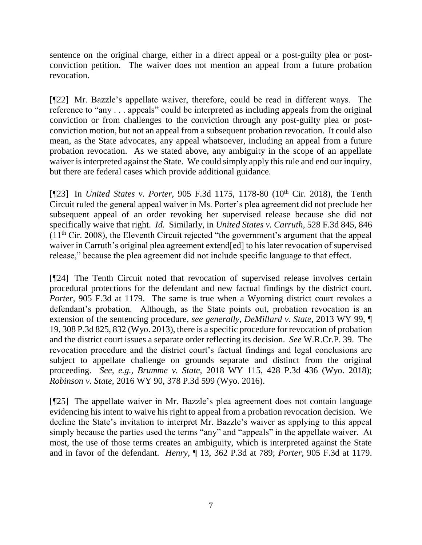sentence on the original charge, either in a direct appeal or a post-guilty plea or postconviction petition. The waiver does not mention an appeal from a future probation revocation.

[¶22] Mr. Bazzle's appellate waiver, therefore, could be read in different ways. The reference to "any . . . appeals" could be interpreted as including appeals from the original conviction or from challenges to the conviction through any post-guilty plea or postconviction motion, but not an appeal from a subsequent probation revocation. It could also mean, as the State advocates, any appeal whatsoever, including an appeal from a future probation revocation. As we stated above, any ambiguity in the scope of an appellate waiver is interpreted against the State. We could simply apply this rule and end our inquiry, but there are federal cases which provide additional guidance.

[¶23] In *United States v. Porter*, 905 F.3d 1175, 1178-80 (10<sup>th</sup> Cir. 2018), the Tenth Circuit ruled the general appeal waiver in Ms. Porter's plea agreement did not preclude her subsequent appeal of an order revoking her supervised release because she did not specifically waive that right. *Id.* Similarly, in *United States v. Carruth,* 528 F.3d 845, 846  $(11<sup>th</sup> Cir. 2008)$ , the Eleventh Circuit rejected "the government's argument that the appeal waiver in Carruth's original plea agreement extend[ed] to his later revocation of supervised release," because the plea agreement did not include specific language to that effect.

[¶24] The Tenth Circuit noted that revocation of supervised release involves certain procedural protections for the defendant and new factual findings by the district court. *Porter,* 905 F.3d at 1179. The same is true when a Wyoming district court revokes a defendant's probation. Although, as the State points out, probation revocation is an extension of the sentencing procedure, *see generally*, *DeMillard v. State,* 2013 WY 99, ¶ 19, 308 P.3d 825, 832 (Wyo. 2013), there is a specific procedure for revocation of probation and the district court issues a separate order reflecting its decision. *See* W.R.Cr.P. 39. The revocation procedure and the district court's factual findings and legal conclusions are subject to appellate challenge on grounds separate and distinct from the original proceeding. *See, e.g., Brumme v. State,* 2018 WY 115, 428 P.3d 436 (Wyo. 2018); *Robinson v. State,* 2016 WY 90, 378 P.3d 599 (Wyo. 2016).

[¶25] The appellate waiver in Mr. Bazzle's plea agreement does not contain language evidencing his intent to waive his right to appeal from a probation revocation decision. We decline the State's invitation to interpret Mr. Bazzle's waiver as applying to this appeal simply because the parties used the terms "any" and "appeals" in the appellate waiver. At most, the use of those terms creates an ambiguity, which is interpreted against the State and in favor of the defendant. *Henry,* ¶ 13, 362 P.3d at 789; *Porter,* 905 F.3d at 1179.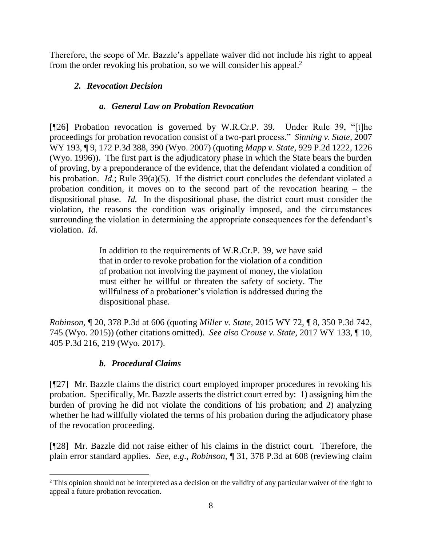Therefore, the scope of Mr. Bazzle's appellate waiver did not include his right to appeal from the order revoking his probation, so we will consider his appeal.<sup>2</sup>

# *2. Revocation Decision*

## *a. General Law on Probation Revocation*

[¶26] Probation revocation is governed by W.R.Cr.P. 39. Under Rule 39, "[t]he proceedings for probation revocation consist of a two-part process." *[Sinning v. State,](http://www.westlaw.com/Link/Document/FullText?findType=Y&serNum=2014320208&pubNum=0004645&originatingDoc=I1a362535fbb711e4b86bd602cb8781fa&refType=RP&fi=co_pp_sp_4645_390&originationContext=document&vr=3.0&rs=cblt1.0&transitionType=DocumentItem&contextData=(sc.DocLink)#co_pp_sp_4645_390)* 2007 [WY 193, ¶ 9, 172 P.3d 388, 390 \(Wyo. 2007\)](http://www.westlaw.com/Link/Document/FullText?findType=Y&serNum=2014320208&pubNum=0004645&originatingDoc=I1a362535fbb711e4b86bd602cb8781fa&refType=RP&fi=co_pp_sp_4645_390&originationContext=document&vr=3.0&rs=cblt1.0&transitionType=DocumentItem&contextData=(sc.DocLink)#co_pp_sp_4645_390) (quoting *Mapp v. State,* [929 P.2d 1222, 1226](http://www.westlaw.com/Link/Document/FullText?findType=Y&serNum=1996275282&pubNum=0000661&originatingDoc=I1a362535fbb711e4b86bd602cb8781fa&refType=RP&fi=co_pp_sp_661_1226&originationContext=document&vr=3.0&rs=cblt1.0&transitionType=DocumentItem&contextData=(sc.DocLink)#co_pp_sp_661_1226)  (Wyo. [1996\)\)](http://www.westlaw.com/Link/Document/FullText?findType=Y&serNum=1996275282&pubNum=0000661&originatingDoc=I1a362535fbb711e4b86bd602cb8781fa&refType=RP&fi=co_pp_sp_661_1226&originationContext=document&vr=3.0&rs=cblt1.0&transitionType=DocumentItem&contextData=(sc.DocLink)#co_pp_sp_661_1226). The first part is the adjudicatory phase in which the State bears the burden of proving, by a preponderance of the evidence, that the defendant violated a condition of his probation. *Id.*; Rule 39(a)(5). If the district court concludes the defendant violated a probation condition, it moves on to the second part of the revocation hearing – the dispositional phase. *Id.* In the dispositional phase, the district court must consider the violation, the reasons the condition was originally imposed, and the circumstances surrounding the violation in determining the appropriate consequences for the defendant's violation. *Id.* 

> In addition to the requirements of [W.R.Cr.P. 39,](http://www.westlaw.com/Link/Document/FullText?findType=L&pubNum=1008764&cite=WYRRCRPR39&originatingDoc=Ic5bf72d0758411e6a46fa4c1b9f16bf3&refType=LQ&originationContext=document&vr=3.0&rs=cblt1.0&transitionType=DocumentItem&contextData=(sc.Search)) we have said that in order to revoke probation for the violation of a condition of probation not involving the payment of money, the violation must either be willful or threaten the safety of society. The willfulness of a probationer's violation is addressed during the dispositional phase.

*Robinson,* ¶ 20, 378 P.3d at 606 (quoting *Miller v. State*[, 2015 WY 72, ¶ 8, 350 P.3d 742,](http://www.westlaw.com/Link/Document/FullText?findType=Y&serNum=2036276701&pubNum=0004645&originatingDoc=Ic5bf72d0758411e6a46fa4c1b9f16bf3&refType=RP&fi=co_pp_sp_4645_745&originationContext=document&vr=3.0&rs=cblt1.0&transitionType=DocumentItem&contextData=(sc.Search)#co_pp_sp_4645_745)  [745 \(Wyo. 2015\)\)](http://www.westlaw.com/Link/Document/FullText?findType=Y&serNum=2036276701&pubNum=0004645&originatingDoc=Ic5bf72d0758411e6a46fa4c1b9f16bf3&refType=RP&fi=co_pp_sp_4645_745&originationContext=document&vr=3.0&rs=cblt1.0&transitionType=DocumentItem&contextData=(sc.Search)#co_pp_sp_4645_745) (other citations omitted). *See also Crouse v. State,* 2017 WY 133, ¶ 10, 405 P.3d 216, 219 (Wyo. 2017).

# *b. Procedural Claims*

[¶27] Mr. Bazzle claims the district court employed improper procedures in revoking his probation. Specifically, Mr. Bazzle asserts the district court erred by: 1) assigning him the burden of proving he did not violate the conditions of his probation; and 2) analyzing whether he had willfully violated the terms of his probation during the adjudicatory phase of the revocation proceeding.

[¶28] Mr. Bazzle did not raise either of his claims in the district court. Therefore, the plain error standard applies. *See, e.g*., *Robinson,* ¶ 31, 378 P.3d at 608 (reviewing claim

l <sup>2</sup> This opinion should not be interpreted as a decision on the validity of any particular waiver of the right to appeal a future probation revocation.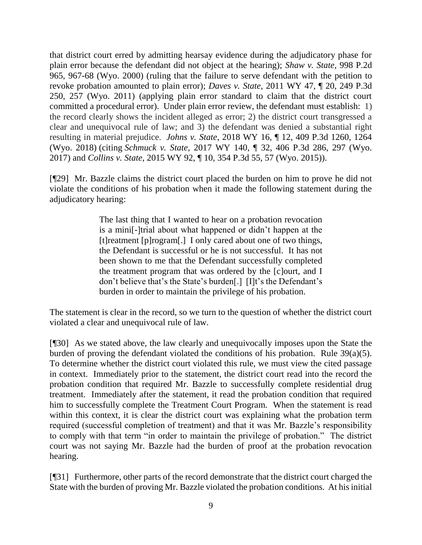that district court erred by admitting hearsay evidence during the adjudicatory phase for plain error because the defendant did not object at the hearing); *Shaw v. State,* 998 P.2d 965, 967-68 (Wyo. 2000) (ruling that the failure to serve defendant with the petition to revoke probation amounted to plain error); *Daves v. State,* 2011 WY 47, ¶ 20, 249 P.3d 250, 257 (Wyo. 2011) (applying plain error standard to claim that the district court committed a procedural error). Under plain error review, the defendant must establish: 1) the record clearly shows the incident alleged as error; 2) the district court transgressed a clear and unequivocal rule of law; and 3) the defendant was denied a substantial right resulting in material prejudice. *Johns v. State*[, 2018 WY 16, ¶ 12, 409 P.3d 1260, 1264](https://1.next.westlaw.com/Link/Document/FullText?findType=Y&serNum=2043787091&pubNum=0004645&originatingDoc=I1da471904e9511e88a14e1fba2b51c53&refType=RP&fi=co_pp_sp_4645_1264&originationContext=document&transitionType=DocumentItem&contextData=(sc.Search)#co_pp_sp_4645_1264)  [\(Wyo. 2018\)](https://1.next.westlaw.com/Link/Document/FullText?findType=Y&serNum=2043787091&pubNum=0004645&originatingDoc=I1da471904e9511e88a14e1fba2b51c53&refType=RP&fi=co_pp_sp_4645_1264&originationContext=document&transitionType=DocumentItem&contextData=(sc.Search)#co_pp_sp_4645_1264) (citing *Schmuck v. State*[, 2017 WY 140, ¶ 32, 406 P.3d 286, 297 \(Wyo.](https://1.next.westlaw.com/Link/Document/FullText?findType=Y&serNum=2043288925&pubNum=0004645&originatingDoc=I1da471904e9511e88a14e1fba2b51c53&refType=RP&fi=co_pp_sp_4645_297&originationContext=document&transitionType=DocumentItem&contextData=(sc.Search)#co_pp_sp_4645_297)  [2017\)](https://1.next.westlaw.com/Link/Document/FullText?findType=Y&serNum=2043288925&pubNum=0004645&originatingDoc=I1da471904e9511e88a14e1fba2b51c53&refType=RP&fi=co_pp_sp_4645_297&originationContext=document&transitionType=DocumentItem&contextData=(sc.Search)#co_pp_sp_4645_297) and *Collins v. State*[, 2015 WY 92, ¶ 10, 354 P.3d 55, 57 \(Wyo. 2015\)\)](https://1.next.westlaw.com/Link/Document/FullText?findType=Y&serNum=2036706120&pubNum=0004645&originatingDoc=I1da471904e9511e88a14e1fba2b51c53&refType=RP&fi=co_pp_sp_4645_57&originationContext=document&transitionType=DocumentItem&contextData=(sc.Search)#co_pp_sp_4645_57).

[¶29] Mr. Bazzle claims the district court placed the burden on him to prove he did not violate the conditions of his probation when it made the following statement during the adjudicatory hearing:

> The last thing that I wanted to hear on a probation revocation is a mini[-]trial about what happened or didn't happen at the [t]reatment [p]rogram[.] I only cared about one of two things, the Defendant is successful or he is not successful. It has not been shown to me that the Defendant successfully completed the treatment program that was ordered by the [c]ourt, and I don't believe that's the State's burden[.] [I]t's the Defendant's burden in order to maintain the privilege of his probation.

The statement is clear in the record, so we turn to the question of whether the district court violated a clear and unequivocal rule of law.

[¶30] As we stated above, the law clearly and unequivocally imposes upon the State the burden of proving the defendant violated the conditions of his probation. Rule 39(a)(5). To determine whether the district court violated this rule, we must view the cited passage in context. Immediately prior to the statement, the district court read into the record the probation condition that required Mr. Bazzle to successfully complete residential drug treatment. Immediately after the statement, it read the probation condition that required him to successfully complete the Treatment Court Program. When the statement is read within this context, it is clear the district court was explaining what the probation term required (successful completion of treatment) and that it was Mr. Bazzle's responsibility to comply with that term "in order to maintain the privilege of probation." The district court was not saying Mr. Bazzle had the burden of proof at the probation revocation hearing.

[¶31] Furthermore, other parts of the record demonstrate that the district court charged the State with the burden of proving Mr. Bazzle violated the probation conditions. At his initial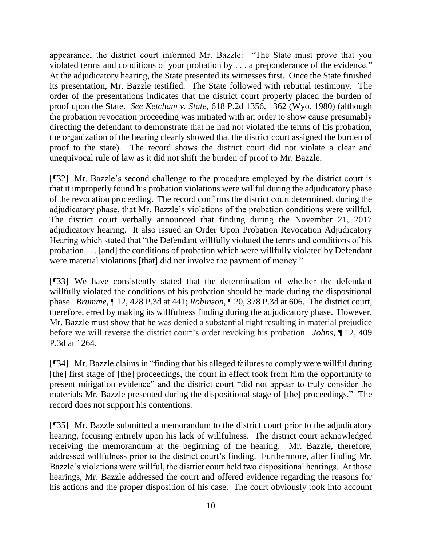appearance, the district court informed Mr. Bazzle: "The State must prove that you violated terms and conditions of your probation by . . . a preponderance of the evidence." At the adjudicatory hearing, the State presented its witnesses first. Once the State finished its presentation, Mr. Bazzle testified. The State followed with rebuttal testimony. The order of the presentations indicates that the district court properly placed the burden of proof upon the State. *See Ketcham v. State,* 618 P.2d 1356, 1362 (Wyo. 1980) (although the probation revocation proceeding was initiated with an order to show cause presumably directing the defendant to demonstrate that he had not violated the terms of his probation, the organization of the hearing clearly showed that the district court assigned the burden of proof to the state). The record shows the district court did not violate a clear and unequivocal rule of law as it did not shift the burden of proof to Mr. Bazzle.

[¶32] Mr. Bazzle's second challenge to the procedure employed by the district court is that it improperly found his probation violations were willful during the adjudicatory phase of the revocation proceeding. The record confirms the district court determined, during the adjudicatory phase, that Mr. Bazzle's violations of the probation conditions were willful. The district court verbally announced that finding during the November 21, 2017 adjudicatory hearing. It also issued an Order Upon Probation Revocation Adjudicatory Hearing which stated that "the Defendant willfully violated the terms and conditions of his probation . . . [and] the conditions of probation which were willfully violated by Defendant were material violations [that] did not involve the payment of money."

[¶33] We have consistently stated that the determination of whether the defendant willfully violated the conditions of his probation should be made during the dispositional phase. *Brumme,* ¶ 12, 428 P.3d at 441; *Robinson*, ¶ 20, 378 P.3d at 606. The district court, therefore, erred by making its willfulness finding during the adjudicatory phase. However, Mr. Bazzle must show that he was denied a substantial right resulting in material prejudice before we will reverse the district court's order revoking his probation. *Johns,* ¶ 12, 409 P.3d at 1264.

[¶34] Mr. Bazzle claims in "finding that his alleged failures to comply were willful during [the] first stage of [the] proceedings, the court in effect took from him the opportunity to present mitigation evidence" and the district court "did not appear to truly consider the materials Mr. Bazzle presented during the dispositional stage of [the] proceedings." The record does not support his contentions.

[¶35] Mr. Bazzle submitted a memorandum to the district court prior to the adjudicatory hearing, focusing entirely upon his lack of willfulness. The district court acknowledged receiving the memorandum at the beginning of the hearing. Mr. Bazzle, therefore, addressed willfulness prior to the district court's finding. Furthermore, after finding Mr. Bazzle's violations were willful, the district court held two dispositional hearings. At those hearings, Mr. Bazzle addressed the court and offered evidence regarding the reasons for his actions and the proper disposition of his case. The court obviously took into account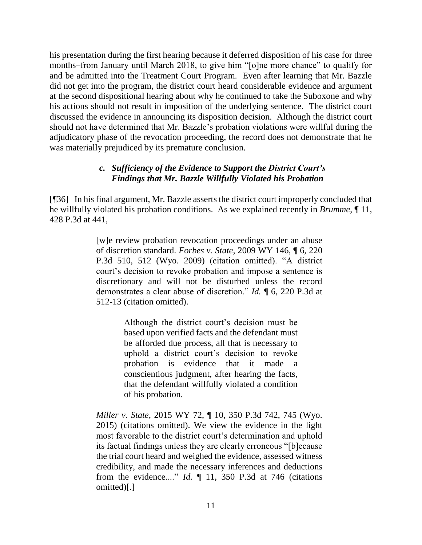his presentation during the first hearing because it deferred disposition of his case for three months–from January until March 2018, to give him "[o]ne more chance" to qualify for and be admitted into the Treatment Court Program. Even after learning that Mr. Bazzle did not get into the program, the district court heard considerable evidence and argument at the second dispositional hearing about why he continued to take the Suboxone and why his actions should not result in imposition of the underlying sentence. The district court discussed the evidence in announcing its disposition decision. Although the district court should not have determined that Mr. Bazzle's probation violations were willful during the adjudicatory phase of the revocation proceeding, the record does not demonstrate that he was materially prejudiced by its premature conclusion.

### *c. Sufficiency of the Evidence to Support the District Court's Findings that Mr. Bazzle Willfully Violated his Probation*

[¶36] In his final argument, Mr. Bazzle asserts the district court improperly concluded that he willfully violated his probation conditions. As we explained recently in *Brumme*, ¶ 11, 428 P.3d at 441,

> [w]e review probation revocation proceedings under an abuse of discretion standard. *Forbes v. State*[, 2009 WY 146, ¶ 6, 220](http://www.westlaw.com/Link/Document/FullText?findType=Y&serNum=2020563113&pubNum=0004645&originatingDoc=I4dbb9900d1a111e8b93ad6f77bf99296&refType=RP&fi=co_pp_sp_4645_512&originationContext=document&vr=3.0&rs=cblt1.0&transitionType=DocumentItem&contextData=(sc.Search)#co_pp_sp_4645_512)  [P.3d 510, 512 \(Wyo. 2009\)](http://www.westlaw.com/Link/Document/FullText?findType=Y&serNum=2020563113&pubNum=0004645&originatingDoc=I4dbb9900d1a111e8b93ad6f77bf99296&refType=RP&fi=co_pp_sp_4645_512&originationContext=document&vr=3.0&rs=cblt1.0&transitionType=DocumentItem&contextData=(sc.Search)#co_pp_sp_4645_512) (citation omitted). "A district court's decision to revoke probation and impose a sentence is discretionary and will not be disturbed unless the record demonstrates a clear abuse of discretion." *Id.* ¶ 6, [220 P.3d at](http://www.westlaw.com/Link/Document/FullText?findType=Y&serNum=2020563113&pubNum=0004645&originatingDoc=I4dbb9900d1a111e8b93ad6f77bf99296&refType=RP&fi=co_pp_sp_4645_512&originationContext=document&vr=3.0&rs=cblt1.0&transitionType=DocumentItem&contextData=(sc.Search)#co_pp_sp_4645_512)  [512-13](http://www.westlaw.com/Link/Document/FullText?findType=Y&serNum=2020563113&pubNum=0004645&originatingDoc=I4dbb9900d1a111e8b93ad6f77bf99296&refType=RP&fi=co_pp_sp_4645_512&originationContext=document&vr=3.0&rs=cblt1.0&transitionType=DocumentItem&contextData=(sc.Search)#co_pp_sp_4645_512) (citation omitted).

> > Although the district court's decision must be based upon verified facts and the defendant must be afforded due process, all that is necessary to uphold a district court's decision to revoke probation is evidence that it made a conscientious judgment, after hearing the facts, that the defendant willfully violated a condition of his probation.

*Miller v. State*[, 2015 WY 72, ¶ 10, 350 P.3d 742, 745 \(Wyo.](http://www.westlaw.com/Link/Document/FullText?findType=Y&serNum=2036276701&pubNum=0004645&originatingDoc=I4dbb9900d1a111e8b93ad6f77bf99296&refType=RP&fi=co_pp_sp_4645_745&originationContext=document&vr=3.0&rs=cblt1.0&transitionType=DocumentItem&contextData=(sc.Search)#co_pp_sp_4645_745)  [2015\)](http://www.westlaw.com/Link/Document/FullText?findType=Y&serNum=2036276701&pubNum=0004645&originatingDoc=I4dbb9900d1a111e8b93ad6f77bf99296&refType=RP&fi=co_pp_sp_4645_745&originationContext=document&vr=3.0&rs=cblt1.0&transitionType=DocumentItem&contextData=(sc.Search)#co_pp_sp_4645_745) (citations omitted). We view the evidence in the light most favorable to the district court's determination and uphold its factual findings unless they are clearly erroneous "[b]ecause the trial court heard and weighed the evidence, assessed witness credibility, and made the necessary inferences and deductions from the evidence...." *Id.* [¶ 11, 350 P.3d at 746](http://www.westlaw.com/Link/Document/FullText?findType=Y&serNum=2036276701&pubNum=0004645&originatingDoc=I4dbb9900d1a111e8b93ad6f77bf99296&refType=RP&fi=co_pp_sp_4645_746&originationContext=document&vr=3.0&rs=cblt1.0&transitionType=DocumentItem&contextData=(sc.Search)#co_pp_sp_4645_746) (citations omitted)[.]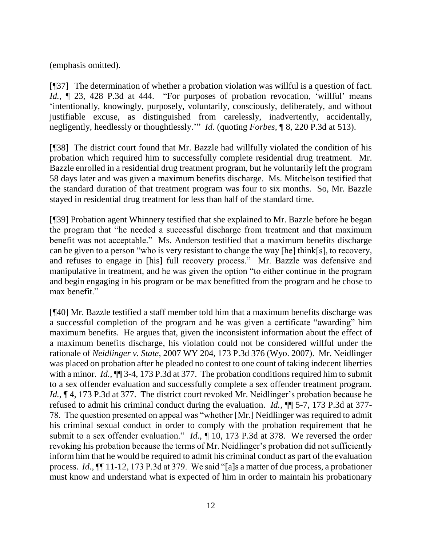(emphasis omitted).

[¶37] The determination of whether a probation violation was willful is a question of fact. *Id.*,  $\parallel$  23, 428 P.3d at 444. "For purposes of probation revocation, 'willful' means 'intentionally, knowingly, purposely, voluntarily, consciously, deliberately, and without justifiable excuse, as distinguished from carelessly, inadvertently, accidentally, negligently, heedlessly or thoughtlessly.'" *Id.* (quoting *Forbes,* [¶ 8, 220 P.3d at](http://www.westlaw.com/Link/Document/FullText?findType=Y&serNum=2020563113&pubNum=0004645&originatingDoc=I4dbb9900d1a111e8b93ad6f77bf99296&refType=RP&fi=co_pp_sp_4645_513&originationContext=document&vr=3.0&rs=cblt1.0&transitionType=DocumentItem&contextData=(sc.Search)#co_pp_sp_4645_513) 513).

[¶38] The district court found that Mr. Bazzle had willfully violated the condition of his probation which required him to successfully complete residential drug treatment. Mr. Bazzle enrolled in a residential drug treatment program, but he voluntarily left the program 58 days later and was given a maximum benefits discharge. Ms. Mitchelson testified that the standard duration of that treatment program was four to six months. So, Mr. Bazzle stayed in residential drug treatment for less than half of the standard time.

[¶39] Probation agent Whinnery testified that she explained to Mr. Bazzle before he began the program that "he needed a successful discharge from treatment and that maximum benefit was not acceptable." Ms. Anderson testified that a maximum benefits discharge can be given to a person "who is very resistant to change the way [he] think[s], to recovery, and refuses to engage in [his] full recovery process." Mr. Bazzle was defensive and manipulative in treatment, and he was given the option "to either continue in the program and begin engaging in his program or be max benefitted from the program and he chose to max benefit."

[¶40] Mr. Bazzle testified a staff member told him that a maximum benefits discharge was a successful completion of the program and he was given a certificate "awarding" him maximum benefits. He argues that, given the inconsistent information about the effect of a maximum benefits discharge, his violation could not be considered willful under the rationale of *Neidlinger v. State,* 2007 WY 204, 173 P.3d 376 (Wyo. 2007). Mr. Neidlinger was placed on probation after he pleaded no contest to one count of taking indecent liberties with a minor. *Id.*,  $\P$  3-4, 173 P.3d at 377. The probation conditions required him to submit to a sex offender evaluation and successfully complete a sex offender treatment program. *Id.*,  $\P$  4, 173 P.3d at 377. The district court revoked Mr. Neidlinger's probation because he refused to admit his criminal conduct during the evaluation. *Id.,* ¶¶ 5-7, 173 P.3d at 377- 78. The question presented on appeal was "whether [Mr.] Neidlinger was required to admit his criminal sexual conduct in order to comply with the probation requirement that he submit to a sex offender evaluation." *Id.,* ¶ 10, 173 P.3d at 378. We reversed the order revoking his probation because the terms of Mr. Neidlinger's probation did not sufficiently inform him that he would be required to admit his criminal conduct as part of the evaluation process. *Id.,* ¶¶ 11-12, 173 P.3d at 379. We said "[a]s a matter of due process, a probationer must know and understand what is expected of him in order to maintain his probationary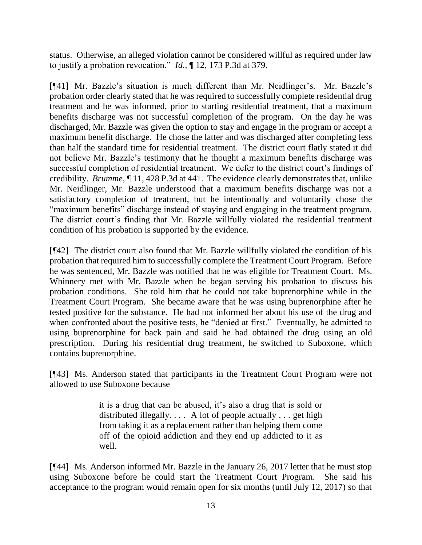status. Otherwise, an alleged violation cannot be considered willful as required under law to justify a probation revocation." *Id.,* ¶ 12, 173 P.3d at 379.

[¶41] Mr. Bazzle's situation is much different than Mr. Neidlinger's. Mr. Bazzle's probation order clearly stated that he was required to successfully complete residential drug treatment and he was informed, prior to starting residential treatment, that a maximum benefits discharge was not successful completion of the program. On the day he was discharged, Mr. Bazzle was given the option to stay and engage in the program or accept a maximum benefit discharge. He chose the latter and was discharged after completing less than half the standard time for residential treatment. The district court flatly stated it did not believe Mr. Bazzle's testimony that he thought a maximum benefits discharge was successful completion of residential treatment. We defer to the district court's findings of credibility. *Brumme,* ¶ 11, 428 P.3d at 441. The evidence clearly demonstrates that, unlike Mr. Neidlinger, Mr. Bazzle understood that a maximum benefits discharge was not a satisfactory completion of treatment, but he intentionally and voluntarily chose the "maximum benefits" discharge instead of staying and engaging in the treatment program. The district court's finding that Mr. Bazzle willfully violated the residential treatment condition of his probation is supported by the evidence.

[¶42] The district court also found that Mr. Bazzle willfully violated the condition of his probation that required him to successfully complete the Treatment Court Program. Before he was sentenced, Mr. Bazzle was notified that he was eligible for Treatment Court. Ms. Whinnery met with Mr. Bazzle when he began serving his probation to discuss his probation conditions. She told him that he could not take buprenorphine while in the Treatment Court Program. She became aware that he was using buprenorphine after he tested positive for the substance. He had not informed her about his use of the drug and when confronted about the positive tests, he "denied at first." Eventually, he admitted to using buprenorphine for back pain and said he had obtained the drug using an old prescription. During his residential drug treatment, he switched to Suboxone, which contains buprenorphine.

[¶43] Ms. Anderson stated that participants in the Treatment Court Program were not allowed to use Suboxone because

> it is a drug that can be abused, it's also a drug that is sold or distributed illegally. . . . A lot of people actually . . . get high from taking it as a replacement rather than helping them come off of the opioid addiction and they end up addicted to it as well.

[¶44] Ms. Anderson informed Mr. Bazzle in the January 26, 2017 letter that he must stop using Suboxone before he could start the Treatment Court Program. She said his acceptance to the program would remain open for six months (until July 12, 2017) so that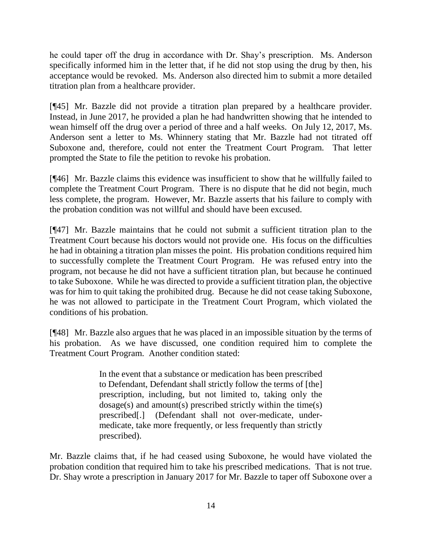he could taper off the drug in accordance with Dr. Shay's prescription. Ms. Anderson specifically informed him in the letter that, if he did not stop using the drug by then, his acceptance would be revoked. Ms. Anderson also directed him to submit a more detailed titration plan from a healthcare provider.

[¶45] Mr. Bazzle did not provide a titration plan prepared by a healthcare provider. Instead, in June 2017, he provided a plan he had handwritten showing that he intended to wean himself off the drug over a period of three and a half weeks. On July 12, 2017, Ms. Anderson sent a letter to Ms. Whinnery stating that Mr. Bazzle had not titrated off Suboxone and, therefore, could not enter the Treatment Court Program. That letter prompted the State to file the petition to revoke his probation.

[¶46] Mr. Bazzle claims this evidence was insufficient to show that he willfully failed to complete the Treatment Court Program. There is no dispute that he did not begin, much less complete, the program. However, Mr. Bazzle asserts that his failure to comply with the probation condition was not willful and should have been excused.

[¶47] Mr. Bazzle maintains that he could not submit a sufficient titration plan to the Treatment Court because his doctors would not provide one. His focus on the difficulties he had in obtaining a titration plan misses the point. His probation conditions required him to successfully complete the Treatment Court Program. He was refused entry into the program, not because he did not have a sufficient titration plan, but because he continued to take Suboxone. While he was directed to provide a sufficient titration plan, the objective was for him to quit taking the prohibited drug. Because he did not cease taking Suboxone, he was not allowed to participate in the Treatment Court Program, which violated the conditions of his probation.

[¶48] Mr. Bazzle also argues that he was placed in an impossible situation by the terms of his probation. As we have discussed, one condition required him to complete the Treatment Court Program. Another condition stated:

> In the event that a substance or medication has been prescribed to Defendant, Defendant shall strictly follow the terms of [the] prescription, including, but not limited to, taking only the dosage(s) and amount(s) prescribed strictly within the time(s) prescribed[.] (Defendant shall not over-medicate, undermedicate, take more frequently, or less frequently than strictly prescribed).

Mr. Bazzle claims that, if he had ceased using Suboxone, he would have violated the probation condition that required him to take his prescribed medications. That is not true. Dr. Shay wrote a prescription in January 2017 for Mr. Bazzle to taper off Suboxone over a